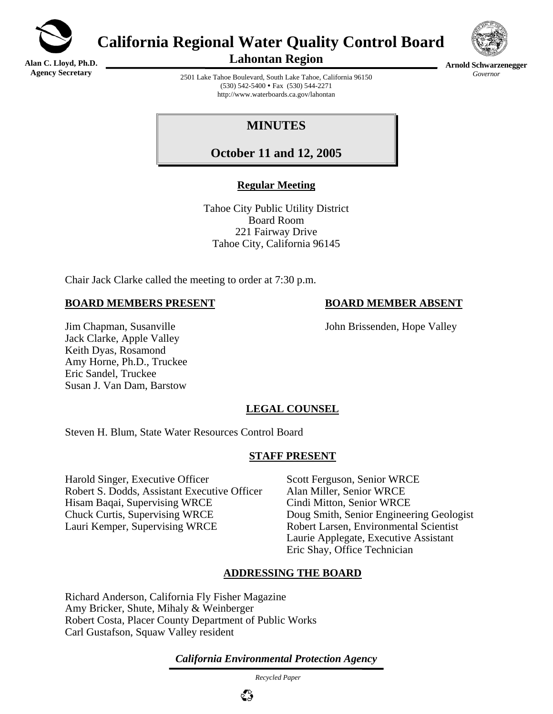

**Alan C. Lloyd, Ph.D. Agency Secretary**

# **California Regional Water Quality Control Board**



**Arnold Schwarzenegger** *Governor* 

**Lahontan Region** 

2501 Lake Tahoe Boulevard, South Lake Tahoe, California 96150  $(530)$  542-5400 • Fax  $(530)$  544-2271 http://www.waterboards.ca.gov/lahontan

## **MINUTES**

**October 11 and 12, 2005**

## **Regular Meeting**

Tahoe City Public Utility District Board Room 221 Fairway Drive Tahoe City, California 96145

Chair Jack Clarke called the meeting to order at 7:30 p.m.

### **BOARD MEMBERS PRESENT BOARD MEMBER ABSENT**

Jim Chapman, Susanville John Brissenden, Hope Valley

Jack Clarke, Apple Valley Keith Dyas, Rosamond Amy Horne, Ph.D., Truckee Eric Sandel, Truckee Susan J. Van Dam, Barstow

## **LEGAL COUNSEL**

Steven H. Blum, State Water Resources Control Board

## **STAFF PRESENT**

Harold Singer, Executive Officer Scott Ferguson, Senior WRCE Robert S. Dodds, Assistant Executive Officer Alan Miller, Senior WRCE Hisam Baqai, Supervising WRCE Cindi Mitton, Senior WRCE Chuck Curtis, Supervising WRCE Doug Smith, Senior Engineering Geologist Lauri Kemper, Supervising WRCE Robert Larsen, Environmental Scientist

Laurie Applegate, Executive Assistant Eric Shay, Office Technician

## **ADDRESSING THE BOARD**

Richard Anderson, California Fly Fisher Magazine Amy Bricker, Shute, Mihaly & Weinberger Robert Costa, Placer County Department of Public Works Carl Gustafson, Squaw Valley resident

*California Environmental Protection Agency*

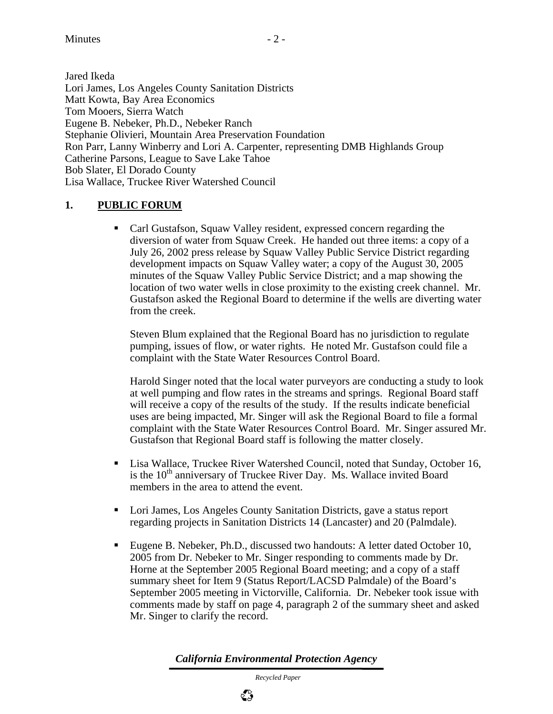Jared Ikeda Lori James, Los Angeles County Sanitation Districts Matt Kowta, Bay Area Economics Tom Mooers, Sierra Watch Eugene B. Nebeker, Ph.D., Nebeker Ranch Stephanie Olivieri, Mountain Area Preservation Foundation Ron Parr, Lanny Winberry and Lori A. Carpenter, representing DMB Highlands Group Catherine Parsons, League to Save Lake Tahoe Bob Slater, El Dorado County Lisa Wallace, Truckee River Watershed Council

## **1. PUBLIC FORUM**

 Carl Gustafson, Squaw Valley resident, expressed concern regarding the diversion of water from Squaw Creek. He handed out three items: a copy of a July 26, 2002 press release by Squaw Valley Public Service District regarding development impacts on Squaw Valley water; a copy of the August 30, 2005 minutes of the Squaw Valley Public Service District; and a map showing the location of two water wells in close proximity to the existing creek channel. Mr. Gustafson asked the Regional Board to determine if the wells are diverting water from the creek.

Steven Blum explained that the Regional Board has no jurisdiction to regulate pumping, issues of flow, or water rights. He noted Mr. Gustafson could file a complaint with the State Water Resources Control Board.

Harold Singer noted that the local water purveyors are conducting a study to look at well pumping and flow rates in the streams and springs. Regional Board staff will receive a copy of the results of the study. If the results indicate beneficial uses are being impacted, Mr. Singer will ask the Regional Board to file a formal complaint with the State Water Resources Control Board. Mr. Singer assured Mr. Gustafson that Regional Board staff is following the matter closely.

- Lisa Wallace, Truckee River Watershed Council, noted that Sunday, October 16, is the 10<sup>th</sup> anniversary of Truckee River Day. Ms. Wallace invited Board members in the area to attend the event.
- Lori James, Los Angeles County Sanitation Districts, gave a status report regarding projects in Sanitation Districts 14 (Lancaster) and 20 (Palmdale).
- Eugene B. Nebeker, Ph.D., discussed two handouts: A letter dated October 10, 2005 from Dr. Nebeker to Mr. Singer responding to comments made by Dr. Horne at the September 2005 Regional Board meeting; and a copy of a staff summary sheet for Item 9 (Status Report/LACSD Palmdale) of the Board's September 2005 meeting in Victorville, California. Dr. Nebeker took issue with comments made by staff on page 4, paragraph 2 of the summary sheet and asked Mr. Singer to clarify the record.

*California Environmental Protection Agency*

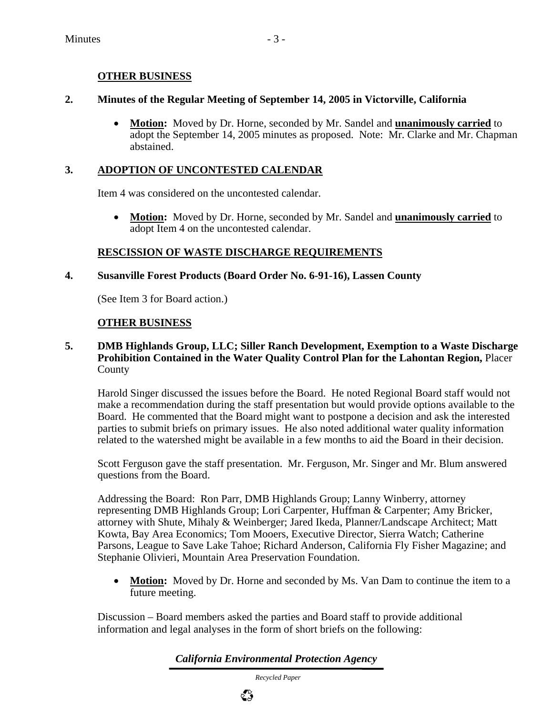### **OTHER BUSINESS**

#### **2. Minutes of the Regular Meeting of September 14, 2005 in Victorville, California**

• **Motion:** Moved by Dr. Horne, seconded by Mr. Sandel and **unanimously carried** to adopt the September 14, 2005 minutes as proposed. Note: Mr. Clarke and Mr. Chapman abstained.

### **3. ADOPTION OF UNCONTESTED CALENDAR**

Item 4 was considered on the uncontested calendar.

• **Motion:** Moved by Dr. Horne, seconded by Mr. Sandel and **unanimously carried** to adopt Item 4 on the uncontested calendar.

### **RESCISSION OF WASTE DISCHARGE REQUIREMENTS**

### **4. Susanville Forest Products (Board Order No. 6-91-16), Lassen County**

(See Item 3 for Board action.)

### **OTHER BUSINESS**

#### **5. DMB Highlands Group, LLC; Siller Ranch Development, Exemption to a Waste Discharge Prohibition Contained in the Water Quality Control Plan for the Lahontan Region,** Placer County

Harold Singer discussed the issues before the Board. He noted Regional Board staff would not make a recommendation during the staff presentation but would provide options available to the Board. He commented that the Board might want to postpone a decision and ask the interested parties to submit briefs on primary issues. He also noted additional water quality information related to the watershed might be available in a few months to aid the Board in their decision.

Scott Ferguson gave the staff presentation. Mr. Ferguson, Mr. Singer and Mr. Blum answered questions from the Board.

Addressing the Board: Ron Parr, DMB Highlands Group; Lanny Winberry, attorney representing DMB Highlands Group; Lori Carpenter, Huffman & Carpenter; Amy Bricker, attorney with Shute, Mihaly & Weinberger; Jared Ikeda, Planner/Landscape Architect; Matt Kowta, Bay Area Economics; Tom Mooers, Executive Director, Sierra Watch; Catherine Parsons, League to Save Lake Tahoe; Richard Anderson, California Fly Fisher Magazine; and Stephanie Olivieri, Mountain Area Preservation Foundation.

• **Motion:** Moved by Dr. Horne and seconded by Ms. Van Dam to continue the item to a future meeting.

Discussion – Board members asked the parties and Board staff to provide additional information and legal analyses in the form of short briefs on the following:

*California Environmental Protection Agency*

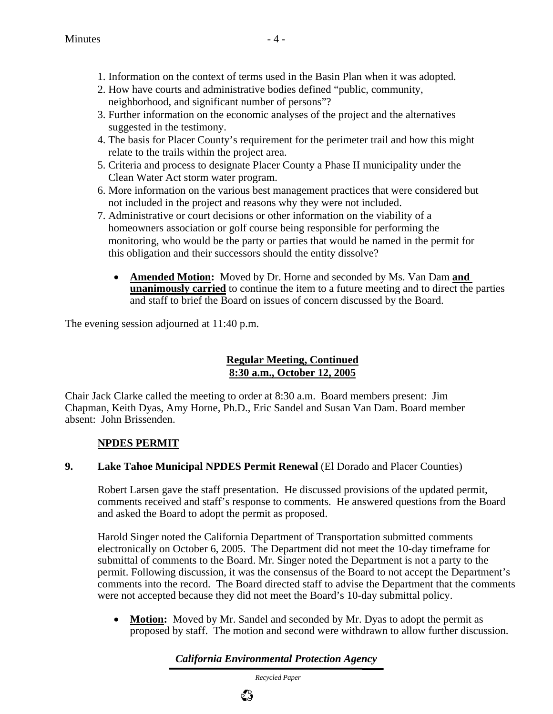- 1. Information on the context of terms used in the Basin Plan when it was adopted.
- 2. How have courts and administrative bodies defined "public, community, neighborhood, and significant number of persons"?
- 3. Further information on the economic analyses of the project and the alternatives suggested in the testimony.
- 4. The basis for Placer County's requirement for the perimeter trail and how this might relate to the trails within the project area.
- 5. Criteria and process to designate Placer County a Phase II municipality under the Clean Water Act storm water program.
- 6. More information on the various best management practices that were considered but not included in the project and reasons why they were not included.
- 7. Administrative or court decisions or other information on the viability of a homeowners association or golf course being responsible for performing the monitoring, who would be the party or parties that would be named in the permit for this obligation and their successors should the entity dissolve?
	- **Amended Motion:** Moved by Dr. Horne and seconded by Ms. Van Dam **and unanimously carried** to continue the item to a future meeting and to direct the parties and staff to brief the Board on issues of concern discussed by the Board.

The evening session adjourned at 11:40 p.m.

### **Regular Meeting, Continued 8:30 a.m., October 12, 2005**

Chair Jack Clarke called the meeting to order at 8:30 a.m. Board members present: Jim Chapman, Keith Dyas, Amy Horne, Ph.D., Eric Sandel and Susan Van Dam. Board member absent: John Brissenden.

### **NPDES PERMIT**

### **9. Lake Tahoe Municipal NPDES Permit Renewal** (El Dorado and Placer Counties)

Robert Larsen gave the staff presentation. He discussed provisions of the updated permit, comments received and staff's response to comments. He answered questions from the Board and asked the Board to adopt the permit as proposed.

Harold Singer noted the California Department of Transportation submitted comments electronically on October 6, 2005. The Department did not meet the 10-day timeframe for submittal of comments to the Board. Mr. Singer noted the Department is not a party to the permit. Following discussion, it was the consensus of the Board to not accept the Department's comments into the record. The Board directed staff to advise the Department that the comments were not accepted because they did not meet the Board's 10-day submittal policy.

• **Motion:** Moved by Mr. Sandel and seconded by Mr. Dyas to adopt the permit as proposed by staff. The motion and second were withdrawn to allow further discussion.

## *California Environmental Protection Agency*

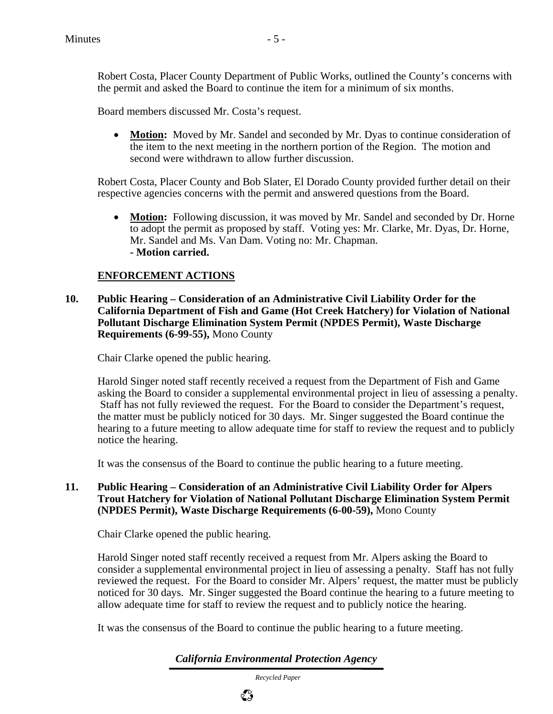Robert Costa, Placer County Department of Public Works, outlined the County's concerns with the permit and asked the Board to continue the item for a minimum of six months.

Board members discussed Mr. Costa's request.

• **Motion:** Moved by Mr. Sandel and seconded by Mr. Dyas to continue consideration of the item to the next meeting in the northern portion of the Region. The motion and second were withdrawn to allow further discussion.

Robert Costa, Placer County and Bob Slater, El Dorado County provided further detail on their respective agencies concerns with the permit and answered questions from the Board.

• **Motion:** Following discussion, it was moved by Mr. Sandel and seconded by Dr. Horne to adopt the permit as proposed by staff. Voting yes: Mr. Clarke, Mr. Dyas, Dr. Horne, Mr. Sandel and Ms. Van Dam. Voting no: Mr. Chapman. **- Motion carried.** 

#### **ENFORCEMENT ACTIONS**

**10. Public Hearing – Consideration of an Administrative Civil Liability Order for the California Department of Fish and Game (Hot Creek Hatchery) for Violation of National Pollutant Discharge Elimination System Permit (NPDES Permit), Waste Discharge Requirements (6-99-55),** Mono County

Chair Clarke opened the public hearing.

Harold Singer noted staff recently received a request from the Department of Fish and Game asking the Board to consider a supplemental environmental project in lieu of assessing a penalty. Staff has not fully reviewed the request. For the Board to consider the Department's request, the matter must be publicly noticed for 30 days. Mr. Singer suggested the Board continue the hearing to a future meeting to allow adequate time for staff to review the request and to publicly notice the hearing.

It was the consensus of the Board to continue the public hearing to a future meeting.

#### **11. Public Hearing – Consideration of an Administrative Civil Liability Order for Alpers Trout Hatchery for Violation of National Pollutant Discharge Elimination System Permit (NPDES Permit), Waste Discharge Requirements (6-00-59),** Mono County

Chair Clarke opened the public hearing.

Harold Singer noted staff recently received a request from Mr. Alpers asking the Board to consider a supplemental environmental project in lieu of assessing a penalty. Staff has not fully reviewed the request. For the Board to consider Mr. Alpers' request, the matter must be publicly noticed for 30 days. Mr. Singer suggested the Board continue the hearing to a future meeting to allow adequate time for staff to review the request and to publicly notice the hearing.

It was the consensus of the Board to continue the public hearing to a future meeting.

*California Environmental Protection Agency*

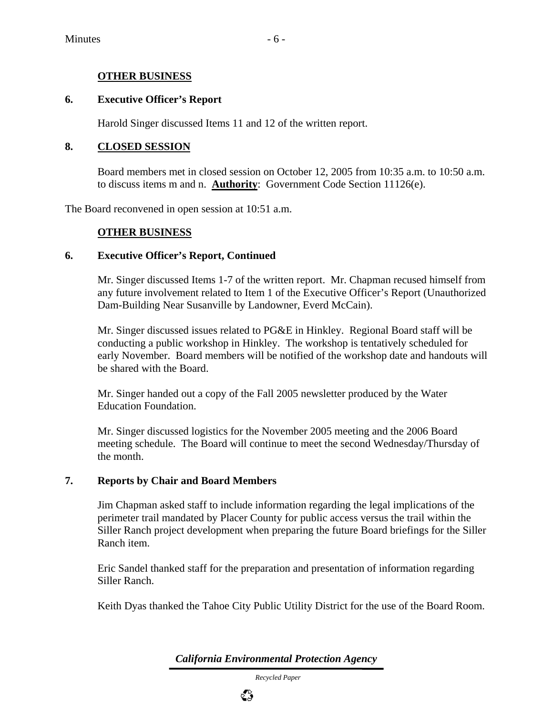#### **OTHER BUSINESS**

#### **6. Executive Officer's Report**

Harold Singer discussed Items 11 and 12 of the written report.

#### **8. CLOSED SESSION**

Board members met in closed session on October 12, 2005 from 10:35 a.m. to 10:50 a.m. to discuss items m and n. **Authority**: Government Code Section 11126(e).

The Board reconvened in open session at 10:51 a.m.

#### **OTHER BUSINESS**

#### **6. Executive Officer's Report, Continued**

Mr. Singer discussed Items 1-7 of the written report. Mr. Chapman recused himself from any future involvement related to Item 1 of the Executive Officer's Report (Unauthorized Dam-Building Near Susanville by Landowner, Everd McCain).

Mr. Singer discussed issues related to PG&E in Hinkley. Regional Board staff will be conducting a public workshop in Hinkley. The workshop is tentatively scheduled for early November. Board members will be notified of the workshop date and handouts will be shared with the Board.

Mr. Singer handed out a copy of the Fall 2005 newsletter produced by the Water Education Foundation.

Mr. Singer discussed logistics for the November 2005 meeting and the 2006 Board meeting schedule. The Board will continue to meet the second Wednesday/Thursday of the month.

#### **7. Reports by Chair and Board Members**

Jim Chapman asked staff to include information regarding the legal implications of the perimeter trail mandated by Placer County for public access versus the trail within the Siller Ranch project development when preparing the future Board briefings for the Siller Ranch item.

Eric Sandel thanked staff for the preparation and presentation of information regarding Siller Ranch.

Keith Dyas thanked the Tahoe City Public Utility District for the use of the Board Room.

*California Environmental Protection Agency*